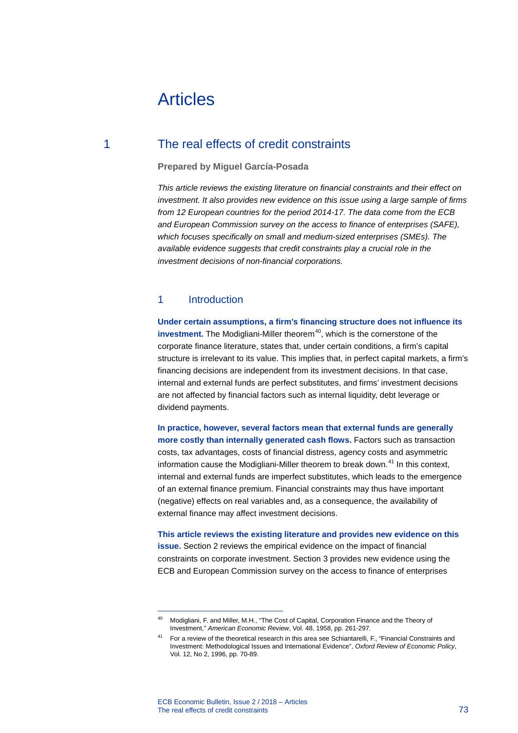# Articles

# 1 The real effects of credit constraints

# **Prepared by Miguel García-Posada**

*This article reviews the existing literature on financial constraints and their effect on investment. It also provides new evidence on this issue using a large sample of firms from 12 European countries for the period 2014-17. The data come from the ECB and European Commission survey on the access to finance of enterprises (SAFE), which focuses specifically on small and medium-sized enterprises (SMEs). The available evidence suggests that credit constraints play a crucial role in the investment decisions of non-financial corporations.*

# 1 Introduction

**Under certain assumptions, a firm's financing structure does not influence its investment.** The Modigliani-Miller theorem<sup>[40](#page-0-0)</sup>, which is the cornerstone of the corporate finance literature, states that, under certain conditions, a firm's capital structure is irrelevant to its value. This implies that, in perfect capital markets, a firm's financing decisions are independent from its investment decisions. In that case, internal and external funds are perfect substitutes, and firms' investment decisions are not affected by financial factors such as internal liquidity, debt leverage or dividend payments.

**In practice, however, several factors mean that external funds are generally more costly than internally generated cash flows.** Factors such as transaction costs, tax advantages, costs of financial distress, agency costs and asymmetric information cause the Modigliani-Miller theorem to break down.<sup>[41](#page-0-1)</sup> In this context, internal and external funds are imperfect substitutes, which leads to the emergence of an external finance premium. Financial constraints may thus have important (negative) effects on real variables and, as a consequence, the availability of external finance may affect investment decisions.

**This article reviews the existing literature and provides new evidence on this issue.** Section 2 reviews the empirical evidence on the impact of financial constraints on corporate investment. Section 3 provides new evidence using the ECB and European Commission survey on the access to finance of enterprises

<span id="page-0-0"></span><sup>40</sup> Modigliani, F. and Miller, M.H., "The Cost of Capital, Corporation Finance and the Theory of Investment," *American Economic Review*, Vol. 48, 1958, pp. 261-297.

<span id="page-0-1"></span><sup>&</sup>lt;sup>41</sup> For a review of the theoretical research in this area see Schiantarelli, F., "Financial Constraints and Investment: Methodological Issues and International Evidence", *Oxford Review of Economic Policy*, Vol. 12, No 2, 1996, pp. 70-89.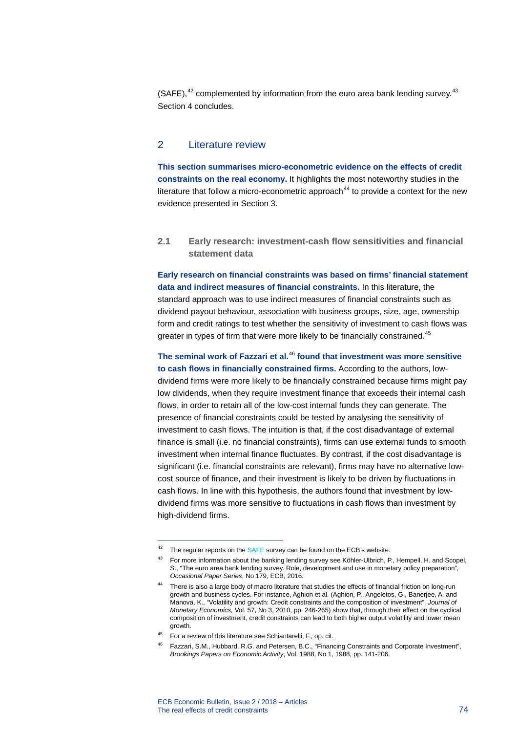(SAFE), $42$  complemented by information from the euro area bank lending survey. $43$ Section 4 concludes.

# 2 Literature review

**This section summarises micro-econometric evidence on the effects of credit constraints on the real economy.** It highlights the most noteworthy studies in the literature that follow a micro-econometric approach<sup>[44](#page-1-2)</sup> to provide a context for the new evidence presented in Section 3.

**2.1 Early research: investment-cash flow sensitivities and financial statement data**

**Early research on financial constraints was based on firms' financial statement data and indirect measures of financial constraints.** In this literature, the standard approach was to use indirect measures of financial constraints such as dividend payout behaviour, association with business groups, size, age, ownership form and credit ratings to test whether the sensitivity of investment to cash flows was greater in types of firm that were more likely to be financially constrained.<sup>[45](#page-1-3)</sup>

**The seminal work of Fazzari et al.**[46](#page-1-4) **found that investment was more sensitive to cash flows in financially constrained firms.** According to the authors, lowdividend firms were more likely to be financially constrained because firms might pay low dividends, when they require investment finance that exceeds their internal cash flows, in order to retain all of the low-cost internal funds they can generate. The presence of financial constraints could be tested by analysing the sensitivity of investment to cash flows. The intuition is that, if the cost disadvantage of external finance is small (i.e. no financial constraints), firms can use external funds to smooth investment when internal finance fluctuates. By contrast, if the cost disadvantage is significant (i.e. financial constraints are relevant), firms may have no alternative lowcost source of finance, and their investment is likely to be driven by fluctuations in cash flows. In line with this hypothesis, the authors found that investment by lowdividend firms was more sensitive to fluctuations in cash flows than investment by high-dividend firms.

<span id="page-1-0"></span> $42$  The regular reports on th[e SAFE](https://www.ecb.europa.eu/stats/ecb_surveys/safe/html/index.en.html) survey can be found on the ECB's website.

<span id="page-1-1"></span><sup>&</sup>lt;sup>43</sup> For more information about the banking lending survey see Köhler-Ulbrich, P., Hempell, H. and Scopel, S., "The euro area bank lending survey. Role, development and use in monetary policy preparation", *Occasional Paper Series*, No 179, ECB, 2016.

<span id="page-1-2"></span><sup>44</sup> There is also a large body of macro literature that studies the effects of financial friction on long-run growth and business cycles. For instance, Aghion et al. (Aghion, P., Angeletos, G., Banerjee, A. and Manova, K., "Volatility and growth: Credit constraints and the composition of investment", *Journal of Monetary Economics,* Vol. 57, No 3, 2010, pp. 246-265) show that, through their effect on the cyclical composition of investment, credit constraints can lead to both higher output volatility and lower mean growth.

<span id="page-1-4"></span><span id="page-1-3"></span><sup>45</sup> For a review of this literature see Schiantarelli, F., op. cit.

<sup>46</sup> Fazzari, S.M., Hubbard, R.G. and Petersen, B.C., "Financing Constraints and Corporate Investment", *Brookings Papers on Economic Activity*, Vol. 1988, No 1, 1988, pp. 141-206.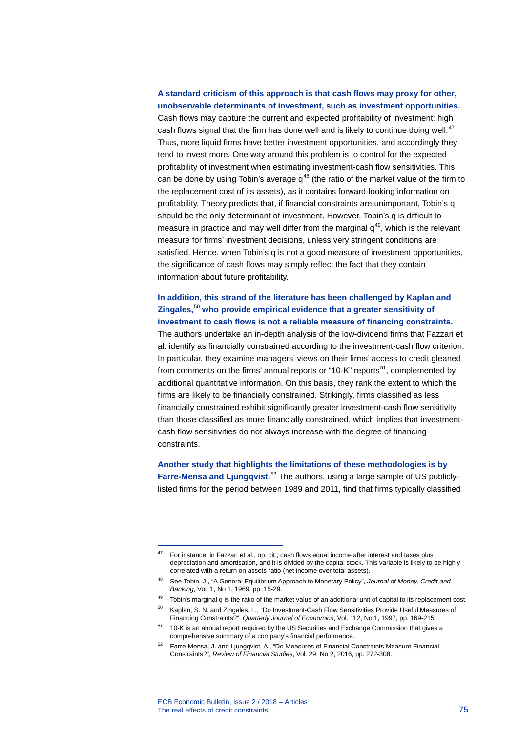# **A standard criticism of this approach is that cash flows may proxy for other, unobservable determinants of investment, such as investment opportunities.**

Cash flows may capture the current and expected profitability of investment: high cash flows signal that the firm has done well and is likely to continue doing well.<sup>[47](#page-2-0)</sup> Thus, more liquid firms have better investment opportunities, and accordingly they tend to invest more. One way around this problem is to control for the expected profitability of investment when estimating investment-cash flow sensitivities. This can be done by using Tobin's average  $q^{48}$  $q^{48}$  $q^{48}$  (the ratio of the market value of the firm to the replacement cost of its assets), as it contains forward-looking information on profitability. Theory predicts that, if financial constraints are unimportant, Tobin's q should be the only determinant of investment. However, Tobin's q is difficult to measure in practice and may well differ from the marginal  $q^{49}$ , which is the relevant measure for firms' investment decisions, unless very stringent conditions are satisfied. Hence, when Tobin's q is not a good measure of investment opportunities, the significance of cash flows may simply reflect the fact that they contain information about future profitability.

# **In addition, this strand of the literature has been challenged by Kaplan and Zingales,** [50](#page-2-3) **who provide empirical evidence that a greater sensitivity of investment to cash flows is not a reliable measure of financing constraints.**

The authors undertake an in-depth analysis of the low-dividend firms that Fazzari et al. identify as financially constrained according to the investment-cash flow criterion. In particular, they examine managers' views on their firms' access to credit gleaned from comments on the firms' annual reports or "10-K" reports<sup>51</sup>, complemented by additional quantitative information. On this basis, they rank the extent to which the firms are likely to be financially constrained. Strikingly, firms classified as less financially constrained exhibit significantly greater investment-cash flow sensitivity than those classified as more financially constrained, which implies that investmentcash flow sensitivities do not always increase with the degree of financing constraints.

**Another study that highlights the limitations of these methodologies is by**  Farre-Mensa and Ljungqvist.<sup>[52](#page-2-5)</sup> The authors, using a large sample of US publiclylisted firms for the period between 1989 and 2011, find that firms typically classified

<span id="page-2-0"></span><sup>47</sup> For instance, in Fazzari et al., op. cit., cash flows equal income after interest and taxes plus depreciation and amortisation, and it is divided by the capital stock. This variable is likely to be highly correlated with a return on assets ratio (net income over total assets).

<span id="page-2-1"></span><sup>48</sup> See Tobin, J., "A General Equilibrium Approach to Monetary Policy", *Journal of Money, Credit and Banking*, Vol. 1, No 1, 1969, pp. 15-29.

<span id="page-2-2"></span> $49$  Tobin's marginal q is the ratio of the market value of an additional unit of capital to its replacement cost.

<span id="page-2-3"></span><sup>50</sup> Kaplan, S. N. and Zingales, L., "Do Investment-Cash Flow Sensitivities Provide Useful Measures of Financing Constraints?", *Quarterly Journal of Economics*, Vol. 112, No 1, 1997, pp. 169-215.

<span id="page-2-4"></span><sup>51</sup> 10-K is an annual report required by the US Securities and Exchange Commission that gives a comprehensive summary of a company's financial performance.

<span id="page-2-5"></span><sup>52</sup> Farre-Mensa, J. and Ljungqvist, A., "Do Measures of Financial Constraints Measure Financial Constraints?", *Review of Financial Studies*, Vol. 29, No 2, 2016, pp. 272-308.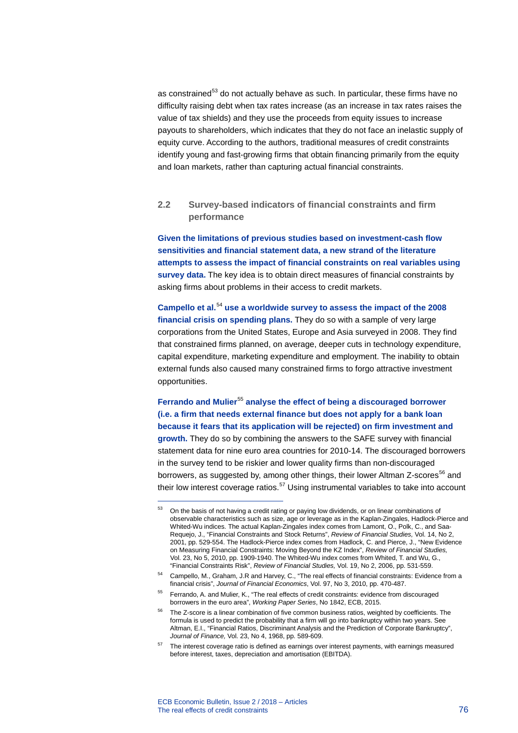as constrained<sup>[53](#page-3-0)</sup> do not actually behave as such. In particular, these firms have no difficulty raising debt when tax rates increase (as an increase in tax rates raises the value of tax shields) and they use the proceeds from equity issues to increase payouts to shareholders, which indicates that they do not face an inelastic supply of equity curve. According to the authors, traditional measures of credit constraints identify young and fast-growing firms that obtain financing primarily from the equity and loan markets, rather than capturing actual financial constraints.

# **2.2 Survey-based indicators of financial constraints and firm performance**

**Given the limitations of previous studies based on investment-cash flow sensitivities and financial statement data, a new strand of the literature attempts to assess the impact of financial constraints on real variables using survey data.** The key idea is to obtain direct measures of financial constraints by asking firms about problems in their access to credit markets.

**Campello et al.**[54](#page-3-1) **use a worldwide survey to assess the impact of the 2008 financial crisis on spending plans.** They do so with a sample of very large corporations from the United States, Europe and Asia surveyed in 2008. They find that constrained firms planned, on average, deeper cuts in technology expenditure, capital expenditure, marketing expenditure and employment. The inability to obtain external funds also caused many constrained firms to forgo attractive investment opportunities.

**Ferrando and Mulier**[55](#page-3-2) **analyse the effect of being a discouraged borrower (i.e. a firm that needs external finance but does not apply for a bank loan because it fears that its application will be rejected) on firm investment and growth.** They do so by combining the answers to the SAFE survey with financial statement data for nine euro area countries for 2010-14. The discouraged borrowers in the survey tend to be riskier and lower quality firms than non-discouraged borrowers, as suggested by, among other things, their lower Altman Z-scores<sup>[56](#page-3-3)</sup> and their low interest coverage ratios.<sup>[57](#page-3-4)</sup> Using instrumental variables to take into account

<span id="page-3-0"></span><sup>53</sup> On the basis of not having a credit rating or paying low dividends, or on linear combinations of observable characteristics such as size, age or leverage as in the Kaplan-Zingales, Hadlock-Pierce and Whited-Wu indices. The actual Kaplan-Zingales index comes from Lamont, O., Polk, C., and Saa-Requejo, J., "Financial Constraints and Stock Returns", *Review of Financial Studies,* Vol. 14, No 2, 2001, pp. 529-554. The Hadlock-Pierce index comes from Hadlock, C. and Pierce, J., "New Evidence on Measuring Financial Constraints: Moving Beyond the KZ Index", *Review of Financial Studies,* Vol. 23, No 5, 2010, pp. 1909-1940. The Whited-Wu index comes from Whited, T. and Wu, G., "Financial Constraints Risk", *Review of Financial Studies,* Vol. 19, No 2, 2006, pp. 531-559.

<span id="page-3-1"></span><sup>54</sup> Campello, M., Graham, J.R and Harvey, C., "The real effects of financial constraints: Evidence from a financial crisis", *Journal of Financial Economics*, Vol. 97, No 3, 2010, pp. 470-487.

<span id="page-3-2"></span><sup>&</sup>lt;sup>55</sup> Ferrando, A. and Mulier, K., "The real effects of credit constraints: evidence from discouraged borrowers in the euro area", *Working Paper Series*, No 1842, ECB, 2015.

<span id="page-3-3"></span><sup>&</sup>lt;sup>56</sup> The Z-score is a linear combination of five common business ratios, weighted by coefficients. The formula is used to predict the probability that a firm will go into bankruptcy within two years. See Altman, E.I., "Financial Ratios, Discriminant Analysis and the Prediction of Corporate Bankruptcy", *Journal of Finance,* Vol. 23, No 4, 1968, pp. 589-609.

<span id="page-3-4"></span><sup>&</sup>lt;sup>57</sup> The interest coverage ratio is defined as earnings over interest payments, with earnings measured before interest, taxes, depreciation and amortisation (EBITDA).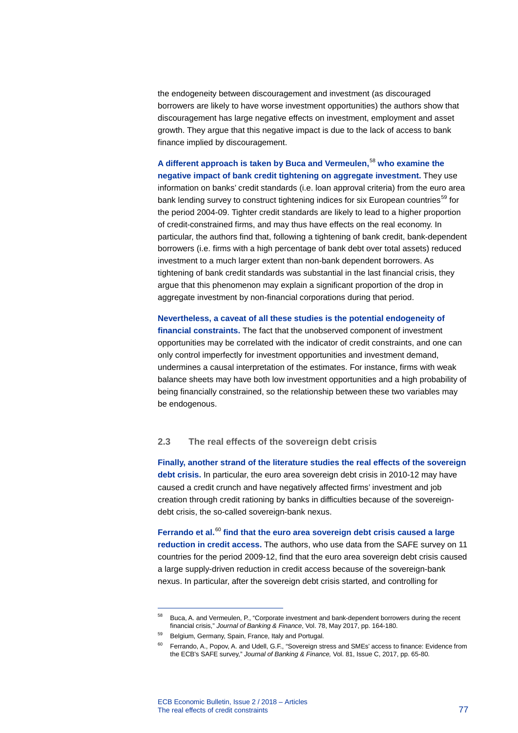the endogeneity between discouragement and investment (as discouraged borrowers are likely to have worse investment opportunities) the authors show that discouragement has large negative effects on investment, employment and asset growth. They argue that this negative impact is due to the lack of access to bank finance implied by discouragement.

**A different approach is taken by Buca and Vermeulen,**[58](#page-4-0) **who examine the negative impact of bank credit tightening on aggregate investment.** They use information on banks' credit standards (i.e. loan approval criteria) from the euro area bank lending survey to construct tightening indices for six European countries<sup>[59](#page-4-1)</sup> for the period 2004-09. Tighter credit standards are likely to lead to a higher proportion of credit-constrained firms, and may thus have effects on the real economy. In particular, the authors find that, following a tightening of bank credit, bank-dependent borrowers (i.e. firms with a high percentage of bank debt over total assets) reduced investment to a much larger extent than non-bank dependent borrowers. As tightening of bank credit standards was substantial in the last financial crisis, they argue that this phenomenon may explain a significant proportion of the drop in aggregate investment by non-financial corporations during that period.

**Nevertheless, a caveat of all these studies is the potential endogeneity of financial constraints.** The fact that the unobserved component of investment opportunities may be correlated with the indicator of credit constraints, and one can only control imperfectly for investment opportunities and investment demand, undermines a causal interpretation of the estimates. For instance, firms with weak balance sheets may have both low investment opportunities and a high probability of being financially constrained, so the relationship between these two variables may be endogenous.

# **2.3 The real effects of the sovereign debt crisis**

**Finally, another strand of the literature studies the real effects of the sovereign debt crisis.** In particular, the euro area sovereign debt crisis in 2010-12 may have caused a credit crunch and have negatively affected firms' investment and job creation through credit rationing by banks in difficulties because of the sovereigndebt crisis, the so-called sovereign-bank nexus.

**Ferrando et al.**[60](#page-4-2) **find that the euro area sovereign debt crisis caused a large reduction in credit access.** The authors, who use data from the SAFE survey on 11 countries for the period 2009-12, find that the euro area sovereign debt crisis caused a large supply-driven reduction in credit access because of the sovereign-bank nexus. In particular, after the sovereign debt crisis started, and controlling for

<span id="page-4-0"></span><sup>58</sup> Buca, A. and Vermeulen, P., "Corporate investment and bank-dependent borrowers during the recent financial crisis," *Journal of Banking & Finance*, Vol. 78, May 2017, pp. 164-180.

<span id="page-4-2"></span><span id="page-4-1"></span><sup>59</sup> Belgium, Germany, Spain, France, Italy and Portugal.

<sup>60</sup> Ferrando, A., Popov, A. and Udell, G.F., "Sovereign stress and SMEs' access to finance: Evidence from the ECB's SAFE survey," *Journal of Banking & Finance,* Vol. 81, Issue C, 2017, pp. 65-80*.*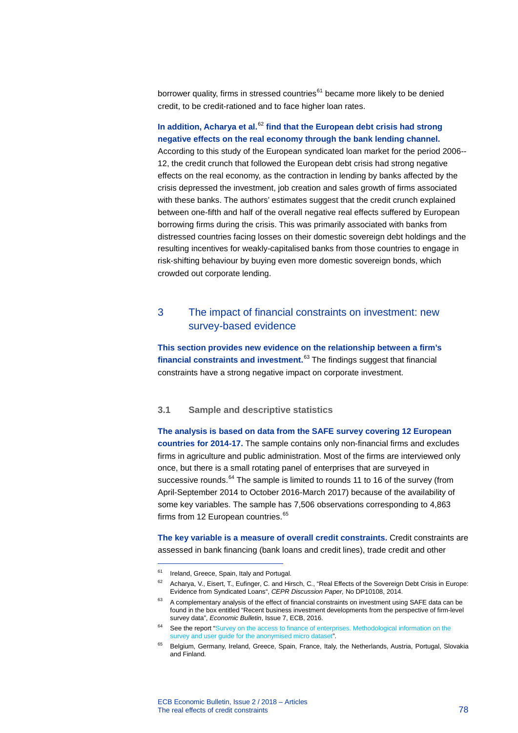borrower quality, firms in stressed countries $61$  became more likely to be denied credit, to be credit-rationed and to face higher loan rates.

# **In addition, Acharya et al.**[62](#page-5-1) **find that the European debt crisis had strong negative effects on the real economy through the bank lending channel.**

According to this study of the European syndicated loan market for the period 2006-- 12, the credit crunch that followed the European debt crisis had strong negative effects on the real economy, as the contraction in lending by banks affected by the crisis depressed the investment, job creation and sales growth of firms associated with these banks. The authors' estimates suggest that the credit crunch explained between one-fifth and half of the overall negative real effects suffered by European borrowing firms during the crisis. This was primarily associated with banks from distressed countries facing losses on their domestic sovereign debt holdings and the resulting incentives for weakly-capitalised banks from those countries to engage in risk-shifting behaviour by buying even more domestic sovereign bonds, which crowded out corporate lending.

# 3 The impact of financial constraints on investment: new survey-based evidence

**This section provides new evidence on the relationship between a firm's financial constraints and investment.**[63](#page-5-2) The findings suggest that financial constraints have a strong negative impact on corporate investment.

### **3.1 Sample and descriptive statistics**

**The analysis is based on data from the SAFE survey covering 12 European countries for 2014-17.** The sample contains only non-financial firms and excludes firms in agriculture and public administration. Most of the firms are interviewed only once, but there is a small rotating panel of enterprises that are surveyed in successive rounds.<sup>[64](#page-5-3)</sup> The sample is limited to rounds 11 to 16 of the survey (from April-September 2014 to October 2016-March 2017) because of the availability of some key variables. The sample has 7,506 observations corresponding to 4,863 firms from 12 European countries.<sup>[65](#page-5-4)</sup>

**The key variable is a measure of overall credit constraints.** Credit constraints are assessed in bank financing (bank loans and credit lines), trade credit and other

<span id="page-5-1"></span><span id="page-5-0"></span><sup>&</sup>lt;sup>61</sup> Ireland, Greece, Spain, Italy and Portugal.

<sup>62</sup> Acharya, V., Eisert, T., Eufinger, C. and Hirsch, C., "Real Effects of the Sovereign Debt Crisis in Europe: Evidence from Syndicated Loans", *CEPR Discussion Paper,* No DP10108, 2014.

<span id="page-5-2"></span> $63$  A complementary analysis of the effect of financial constraints on investment using SAFE data can be found in the box entitled "Recent business investment developments from the perspective of firm-level survey data", *Economic Bulletin*, Issue 7, ECB, 2016.

<span id="page-5-3"></span><sup>&</sup>lt;sup>64</sup> See the report "Survey on the access to finance of enterprises. Methodological information on the [survey and user guide for the anonymised micro dataset".](https://www.ecb.europa.eu/stats/pdf/surveys/sme/methodological_information_survey_and_user_guide.pdf)

<span id="page-5-4"></span><sup>&</sup>lt;sup>65</sup> Belgium, Germany, Ireland, Greece, Spain, France, Italy, the Netherlands, Austria, Portugal, Slovakia and Finland.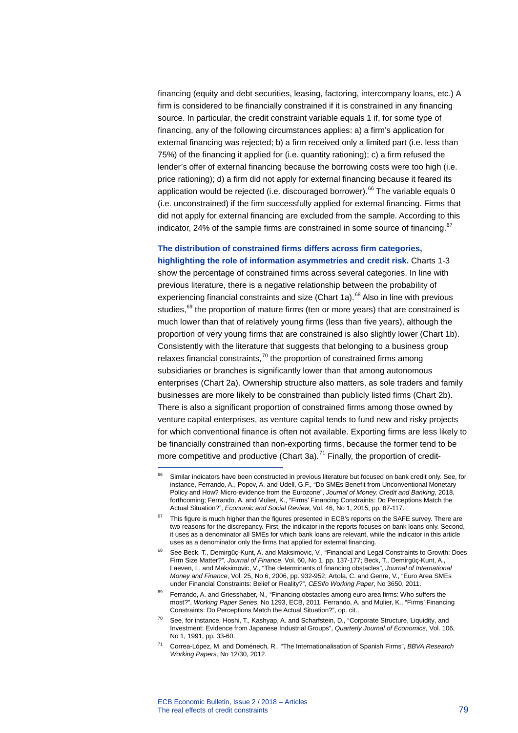financing (equity and debt securities, leasing, factoring, intercompany loans, etc.) A firm is considered to be financially constrained if it is constrained in any financing source. In particular, the credit constraint variable equals 1 if, for some type of financing, any of the following circumstances applies: a) a firm's application for external financing was rejected; b) a firm received only a limited part (i.e. less than 75%) of the financing it applied for (i.e. quantity rationing); c) a firm refused the lender's offer of external financing because the borrowing costs were too high (i.e. price rationing); d) a firm did not apply for external financing because it feared its application would be rejected (i.e. discouraged borrower).<sup>[66](#page-6-0)</sup> The variable equals 0 (i.e. unconstrained) if the firm successfully applied for external financing. Firms that did not apply for external financing are excluded from the sample. According to this indicator, 24% of the sample firms are constrained in some source of financing. $67$ 

# **The distribution of constrained firms differs across firm categories,**

**highlighting the role of information asymmetries and credit risk.** Charts 1-3 show the percentage of constrained firms across several categories. In line with previous literature, there is a negative relationship between the probability of experiencing financial constraints and size (Chart 1a). $^{68}$  $^{68}$  $^{68}$  Also in line with previous studies.<sup>[69](#page-6-3)</sup> the proportion of mature firms (ten or more years) that are constrained is much lower than that of relatively young firms (less than five years), although the proportion of very young firms that are constrained is also slightly lower (Chart 1b). Consistently with the literature that suggests that belonging to a business group relaxes financial constraints,<sup>[70](#page-6-4)</sup> the proportion of constrained firms among subsidiaries or branches is significantly lower than that among autonomous enterprises (Chart 2a). Ownership structure also matters, as sole traders and family businesses are more likely to be constrained than publicly listed firms (Chart 2b). There is also a significant proportion of constrained firms among those owned by venture capital enterprises, as venture capital tends to fund new and risky projects for which conventional finance is often not available. Exporting firms are less likely to be financially constrained than non-exporting firms, because the former tend to be more competitive and productive (Chart 3a).<sup>[71](#page-6-5)</sup> Finally, the proportion of credit-

<span id="page-6-0"></span><sup>&</sup>lt;sup>66</sup> Similar indicators have been constructed in previous literature but focused on bank credit only. See, for instance, Ferrando, A., Popov, A. and Udell, G.F., "Do SMEs Benefit from Unconventional Monetary Policy and How? Micro-evidence from the Eurozone", *Journal of Money, Credit and Banking*, 2018, forthcoming; Ferrando, A. and Mulier, K., "Firms' Financing Constraints: Do Perceptions Match the Actual Situation?", *Economic and Social Review*, Vol. 46, No 1, 2015, pp. 87-117.

<span id="page-6-1"></span> $67$  This figure is much higher than the figures presented in ECB's reports on the SAFE survey. There are two reasons for the discrepancy. First, the indicator in the reports focuses on bank loans only. Second, it uses as a denominator all SMEs for which bank loans are relevant, while the indicator in this article uses as a denominator only the firms that applied for external financing.

<span id="page-6-2"></span><sup>68</sup> See Beck, T., Demirgüç-Kunt, A. and Maksimovic, V., "Financial and Legal Constraints to Growth: Does Firm Size Matter?", *Journal of Finance*, Vol. 60, No 1, pp. 137-177; Beck, T., Demirgüç-Kunt, A., Laeven, L. and Maksimovic, V., "The determinants of financing obstacles", *Journal of International Money and Finance*, Vol. 25, No 6, 2006, pp. 932-952; Artola, C. and Genre, V., "Euro Area SMEs under Financial Constraints: Belief or Reality?", *CESifo Working Paper*, No 3650, 2011.

<span id="page-6-3"></span><sup>&</sup>lt;sup>69</sup> Ferrando, A. and Griesshaber, N., "Financing obstacles among euro area firms: Who suffers the most?", *Working Paper Series*, No 1293, ECB, 2011. Ferrando, A. and Mulier, K., "Firms' Financing Constraints: Do Perceptions Match the Actual Situation?", op. cit..

<span id="page-6-4"></span><sup>70</sup> See, for instance, Hoshi, T., Kashyap, A. and Scharfstein, D., "Corporate Structure, Liquidity, and Investment: Evidence from Japanese Industrial Groups", *Quarterly Journal of Economics*, Vol. 106, No 1, 1991, pp. 33-60.

<span id="page-6-5"></span><sup>71</sup> Correa-López, M. and Doménech, R., "The Internationalisation of Spanish Firms", *BBVA Research Working Papers,* No 12/30, 2012.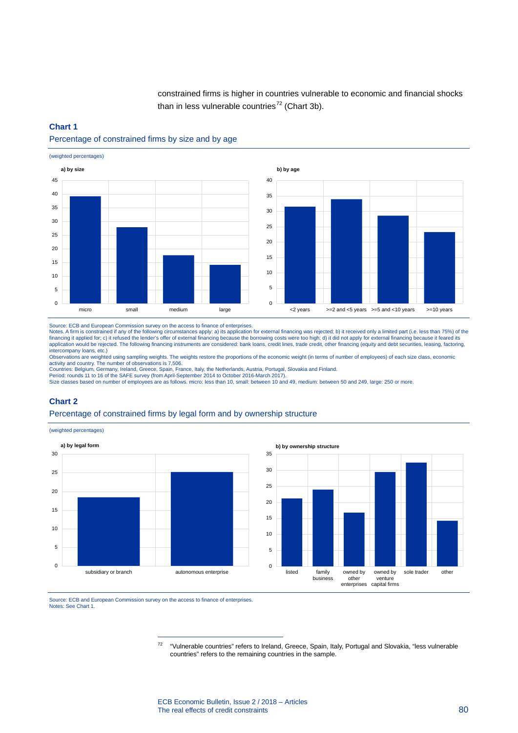constrained firms is higher in countries vulnerable to economic and financial shocks than in less vulnerable countries<sup>[72](#page-7-0)</sup> (Chart 3b).

#### **Chart 1**

### Percentage of constrained firms by size and by age



Source: ECB and European Commission survey on the access to finance of enterprises.

Notes. A firm is constrained if any of the following circumstances apply: a) its application for external financing was rejected; b) it received only a limited part (i.e. less than 75%) of the financing it applied for; c) it refused the lender's offer of external financing because the borrowing costs were too high; d) it did not apply for external financing because it feared its<br>application would be rejected. Th intercompany loans, etc.)

Observations are weighted using sampling weights. The weights restore the proportions of the economic weight (in terms of number of employees) of each size class, economic

activity and country. The number of observations is 7,506. Countries: Belgium, Germany, Ireland, Greece, Spain, France, Italy, the Netherlands, Austria, Portugal, Slovakia and Finland.

Period: rounds 11 to 16 of the SAFE survey (from April-September 2014 to October 2016-March 2017).<br>Size classes based on number of employees are as follows. micro: less than 10, small: between 10 and 49, medium: between 50

#### **Chart 2**

### Percentage of constrained firms by legal form and by ownership structure

(weighted percentages)





<span id="page-7-0"></span>Source: ECB and European Commission survey on the access to finance of enterprises. Notes: See Chart 1.

-

<sup>72</sup> "Vulnerable countries" refers to Ireland, Greece, Spain, Italy, Portugal and Slovakia, "less vulnerable countries" refers to the remaining countries in the sample.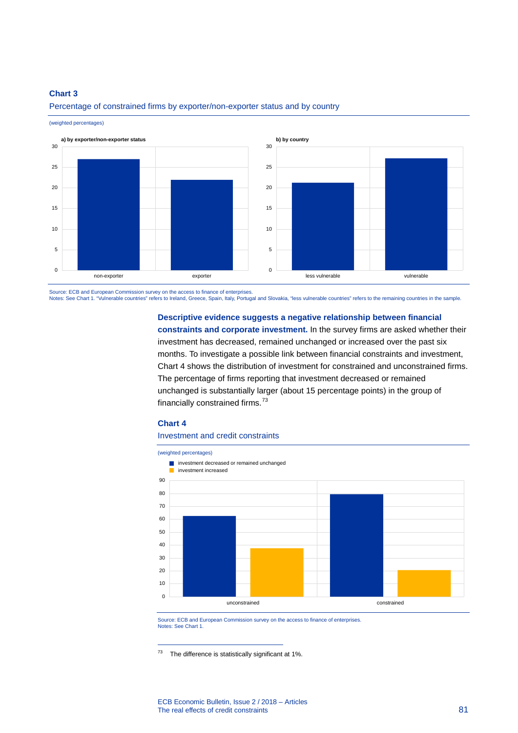# **Chart 3**

(weighted percentages)



Percentage of constrained firms by exporter/non-exporter status and by country

Source: ECB and European Commission survey on the access to finance of enterprises.

Notes: See Chart 1. "Vulnerable countries" refers to Ireland, Greece, Spain, Italy, Portugal and Slovakia, "less vulnerable countries" refers to the remaining countries in the sample.

#### **Descriptive evidence suggests a negative relationship between financial**

**constraints and corporate investment.** In the survey firms are asked whether their investment has decreased, remained unchanged or increased over the past six months. To investigate a possible link between financial constraints and investment, Chart 4 shows the distribution of investment for constrained and unconstrained firms. The percentage of firms reporting that investment decreased or remained unchanged is substantially larger (about 15 percentage points) in the group of financially constrained firms.<sup>[73](#page-8-0)</sup>

#### **Chart 4**

-

### Investment and credit constraints



Source: ECB and European Commission survey on the access to finance of enterprises. Notes: See Chart 1.

<span id="page-8-0"></span> $73$  The difference is statistically significant at 1%.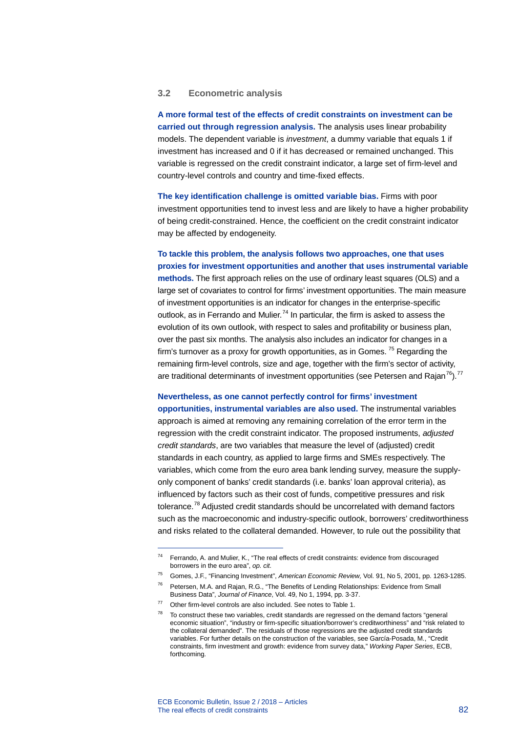# **3.2 Econometric analysis**

**A more formal test of the effects of credit constraints on investment can be carried out through regression analysis.** The analysis uses linear probability models. The dependent variable is *investment*, a dummy variable that equals 1 if investment has increased and 0 if it has decreased or remained unchanged. This variable is regressed on the credit constraint indicator, a large set of firm-level and country-level controls and country and time-fixed effects.

**The key identification challenge is omitted variable bias.** Firms with poor investment opportunities tend to invest less and are likely to have a higher probability of being credit-constrained. Hence, the coefficient on the credit constraint indicator may be affected by endogeneity.

**To tackle this problem, the analysis follows two approaches, one that uses proxies for investment opportunities and another that uses instrumental variable methods.** The first approach relies on the use of ordinary least squares (OLS) and a large set of covariates to control for firms' investment opportunities. The main measure of investment opportunities is an indicator for changes in the enterprise-specific outlook, as in Ferrando and Mulier.<sup>[74](#page-9-0)</sup> In particular, the firm is asked to assess the evolution of its own outlook, with respect to sales and profitability or business plan, over the past six months. The analysis also includes an indicator for changes in a firm's turnover as a proxy for growth opportunities, as in Gomes.  $75$  Regarding the remaining firm-level controls, size and age, together with the firm's sector of activity, are traditional determinants of investment opportunities (see Petersen and Rajan<sup>76</sup>).<sup>[77](#page-9-3)</sup>

### **Nevertheless, as one cannot perfectly control for firms' investment**

**opportunities, instrumental variables are also used.** The instrumental variables approach is aimed at removing any remaining correlation of the error term in the regression with the credit constraint indicator. The proposed instruments, *adjusted credit standards*, are two variables that measure the level of (adjusted) credit standards in each country, as applied to large firms and SMEs respectively. The variables, which come from the euro area bank lending survey, measure the supplyonly component of banks' credit standards (i.e. banks' loan approval criteria), as influenced by factors such as their cost of funds, competitive pressures and risk tolerance.[78](#page-9-4) Adjusted credit standards should be uncorrelated with demand factors such as the macroeconomic and industry-specific outlook, borrowers' creditworthiness and risks related to the collateral demanded. However, to rule out the possibility that

<span id="page-9-0"></span><sup>74</sup> Ferrando, A. and Mulier, K., "The real effects of credit constraints: evidence from discouraged borrowers in the euro area", *op. cit.*

<span id="page-9-1"></span><sup>75</sup> Gomes, J.F., "Financing Investment", *American Economic Review,* Vol. 91, No 5, 2001, pp. 1263-1285.

<span id="page-9-2"></span><sup>76</sup> Petersen, M.A. and Rajan, R.G., "The Benefits of Lending Relationships: Evidence from Small Business Data", *Journal of Finance*, Vol. 49, No 1, 1994, pp. 3-37.

<span id="page-9-3"></span> $77$  Other firm-level controls are also included. See notes to Table 1.

<span id="page-9-4"></span> $78$  To construct these two variables, credit standards are regressed on the demand factors "general economic situation", "industry or firm-specific situation/borrower's creditworthiness" and "risk related to the collateral demanded". The residuals of those regressions are the adjusted credit standards variables. For further details on the construction of the variables, see García-Posada, M., "Credit constraints, firm investment and growth: evidence from survey data," *Working Paper Series*, ECB, forthcoming.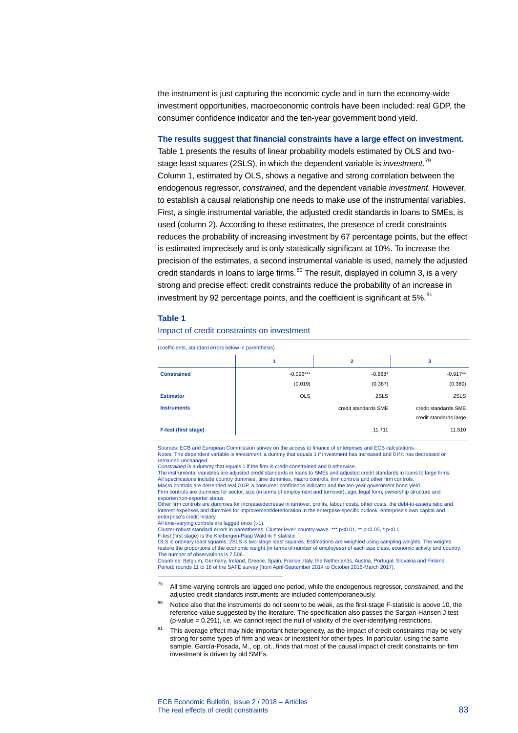the instrument is just capturing the economic cycle and in turn the economy-wide investment opportunities, macroeconomic controls have been included: real GDP, the consumer confidence indicator and the ten-year government bond yield.

**The results suggest that financial constraints have a large effect on investment.** Table 1 presents the results of linear probability models estimated by OLS and twostage least squares (2SLS), in which the dependent variable is *investment*. [79](#page-10-0) Column 1, estimated by OLS, shows a negative and strong correlation between the endogenous regressor, *constrained*, and the dependent variable *investment*. However, to establish a causal relationship one needs to make use of the instrumental variables. First, a single instrumental variable, the adjusted credit standards in loans to SMEs, is used (column 2). According to these estimates, the presence of credit constraints reduces the probability of increasing investment by 67 percentage points, but the effect is estimated imprecisely and is only statistically significant at 10%. To increase the precision of the estimates, a second instrumental variable is used, namely the adjusted credit standards in loans to large firms. $80$  The result, displayed in column 3, is a very strong and precise effect: credit constraints reduce the probability of an increase in investment by 92 percentage points, and the coefficient is significant at  $5\%$ .<sup>[81](#page-10-2)</sup>

#### **Table 1**

#### Impact of credit constraints on investment

(coefficients, standard errors below in parenthesis)

|                             | 1           | $\overline{2}$       | 3                      |
|-----------------------------|-------------|----------------------|------------------------|
| <b>Constrained</b>          | $-0.096***$ | $-0.668*$            | $-0.917**$             |
|                             | (0.019)     | (0.387)              | (0.360)                |
| <b>Estimator</b>            | <b>OLS</b>  | 2SLS                 | 2SLS                   |
| <b>Instruments</b>          |             | credit standards SME | credit standards SME   |
|                             |             |                      | credit standards large |
| <b>F-test (first stage)</b> |             | 11.711               | 11.510                 |

Sources: ECB and European Commission survey on the access to finance of enterprises and ECB calculations. Notes: The dependent variable is *investment*, a dummy that equals 1 if investment has increased and 0 if it has decrease remained unchanged.

*Constrained* is a dummy that equals 1 if the firm is credit-constrained and 0 otherwise.

The instrumental variables are adjusted credit standards in loans to SMEs and adjusted credit standards in loans to large firms. All specifications include country dummies, time dummies, macro controls, firm controls and other firm controls. Macro controls are detrended real GDP, a consumer confidence indicator and the ten-year government bond yield. Firm controls are dummies for sector, size (in terms of employment and turnover), age, legal form, ownership structure and exporter/non-exporter status.

Other firm controls are dummies for increase/decrease in turnover, profits, labour costs, other costs, the debt-to-assets ratio and<br>interest expenses and dummies for improvement/deterioration in the enterprise-specific ou enterprise's credit history.

All time-varying controls are lagged once (t-1).

-

Cluster-robust standard errors in parentheses. Cluster level: country-wave. \*\*\* p<0.01, \*\* p<0.05, \* p<0.1 F-test (first stage) is the Kleibergen-Paap Wald rk F statistic.

OLS is ordinary least squares. 2SLS is two-stage least squares. Estimations are weighted using sampling weights. The weights restore the proportions of the economic weight (in terms of number of employees) of each size class, economic activity and country. The number of observations is 7,506.

Countries: Belgium, Germany, Ireland, Greece, Spain, France, Italy, the Netherlands, Austria, Portugal, Slovakia and Finland. Period: rounds 11 to 16 of the SAFE survey (from April-September 2014 to October 2016-March 2017).

<span id="page-10-0"></span><sup>79</sup> All time-varying controls are lagged one period, while the endogenous regressor, *constrained*, and the adjusted credit standards instruments are included contemporaneously.

- <span id="page-10-1"></span>80 Notice also that the instruments do not seem to be weak, as the first-stage F-statistic is above 10, the reference value suggested by the literature. The specification also passes the Sargan-Hansen J test  $(p-value = 0.291)$ , i.e. we cannot reject the null of validity of the over-identifying restrictions.
- <span id="page-10-2"></span><sup>81</sup> This average effect may hide important heterogeneity, as the impact of credit constraints may be very strong for some types of firm and weak or inexistent for other types. In particular, using the same sample, García-Posada, M., op. cit., finds that most of the causal impact of credit constraints on firm investment is driven by old SMEs.